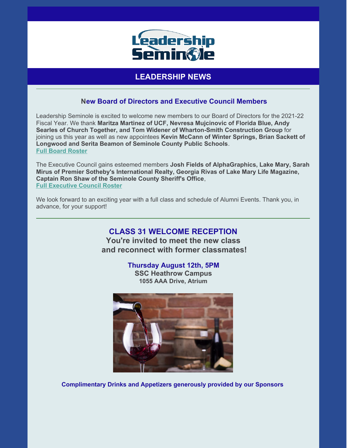

# **LEADERSHIP NEWS**

#### **New Board of Directors and Executive Council Members**

Leadership Seminole is excited to welcome new members to our Board of Directors for the 2021-22 Fiscal Year. We thank **Maritza Martinez of UCF, Nevresa Mujcinovic of Florida Blue, Andy Searles of Church Together, and Tom Widener of Wharton-Smith Construction Group** for joining us this year as well as new appointees **Kevin McCann of Winter Springs, Brian Sackett of Longwood and Serita Beamon of Seminole County Public Schools**. **Full Board [Roster](https://files.constantcontact.com/206c3f27be/b9403fa5-15c8-4b0a-b194-3946cb210168.pdf)**

The Executive Council gains esteemed members **Josh Fields of AlphaGraphics, Lake Mary, Sarah Mirus of Premier Sotheby's International Realty, Georgia Rivas of Lake Mary Life Magazine, Captain Ron Shaw of the Seminole County Sheriff's Office**, **Full [Executive](https://files.constantcontact.com/206c3f27be/5e84a3b3-cd5e-495a-a11e-717c2432721b.pdf) Council Roster**

We look forward to an exciting year with a full class and schedule of Alumni Events. Thank you, in advance, for your support!

## **CLASS 31 WELCOME RECEPTION**

**You're invited to meet the new class and reconnect with former classmates!**

**Thursday August 12th, 5PM**

**SSC Heathrow Campus 1055 AAA Drive, Atrium**



**Complimentary Drinks and Appetizers generously provided by our Sponsors**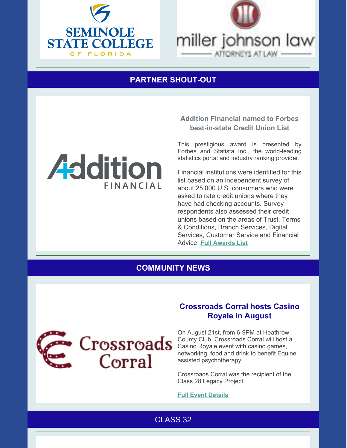



# **PARTNER SHOUT-OUT**



#### **Addition Financial named to Forbes best-in-state Credit Union List**

This prestigious award is presented by Forbes and Statista Inc., the world-leading statistics portal and industry ranking provider.

Financial institutions were identified for this list based on an independent survey of about 25,000 U.S. consumers who were asked to rate credit unions where they have had checking accounts. Survey respondents also assessed their credit unions based on the areas of Trust, Terms & Conditions, Branch Services, Digital Services, Customer Service and Financial Advice. **Full [Awards](https://www.forbes.com/best-in-state-credit-unions/#2e7ebf656167) List**

### **COMMUNITY NEWS**



### **Crossroads Corral hosts Casino Royale in August**

On August 21st, from 6-9PM at Heathrow County Club, Crossroads Corral will host a Casino Royale event with casino games, networking, food and drink to benefit Equine assisted psychotherapy.

Crossroads Corral was the recipient of the Class 28 Legacy Project.

#### **Full Event [Details](https://files.constantcontact.com/206c3f27be/c2701061-023a-43b4-b96a-851192fbcab3.pdf)**

CLASS 32